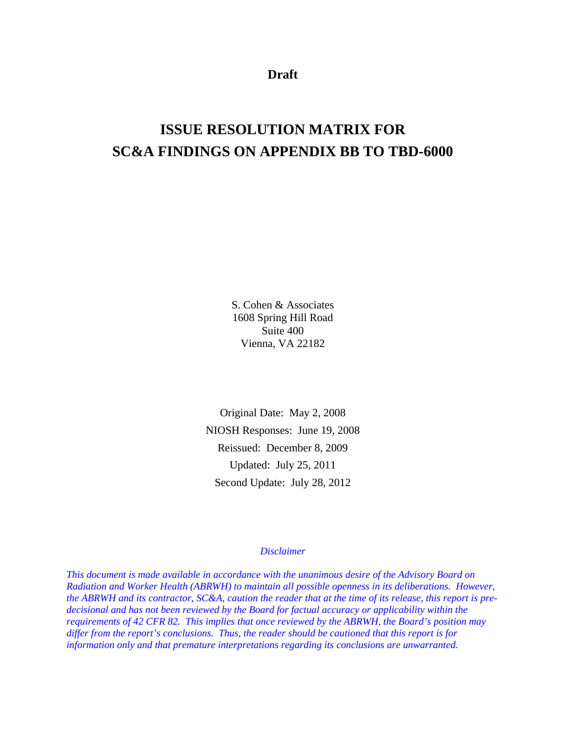**Draft** 

# **ISSUE RESOLUTION MATRIX FOR SC&A FINDINGS ON APPENDIX BB TO TBD-6000**

S. Cohen & Associates 1608 Spring Hill Road Suite 400 Vienna, VA 22182

Original Date: May 2, 2008 NIOSH Responses: June 19, 2008 Reissued: December 8, 2009 Updated: July 25, 2011 Second Update: July 28, 2012

# *Disclaimer*

*This document is made available in accordance with the unanimous desire of the Advisory Board on Radiation and Worker Health (ABRWH) to maintain all possible openness in its deliberations. However, the ABRWH and its contractor, SC&A, caution the reader that at the time of its release, this report is predecisional and has not been reviewed by the Board for factual accuracy or applicability within the requirements of 42 CFR 82. This implies that once reviewed by the ABRWH, the Board's position may differ from the report's conclusions. Thus, the reader should be cautioned that this report is for information only and that premature interpretations regarding its conclusions are unwarranted.*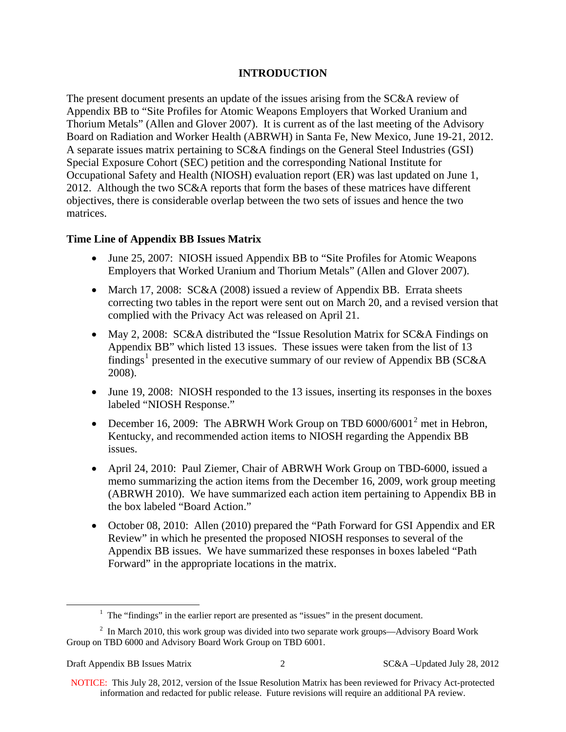# **INTRODUCTION**

The present document presents an update of the issues arising from the SC&A review of Appendix BB to "Site Profiles for Atomic Weapons Employers that Worked Uranium and Thorium Metals" (Allen and Glover 2007). It is current as of the last meeting of the Advisory Board on Radiation and Worker Health (ABRWH) in Santa Fe, New Mexico, June 19-21, 2012. A separate issues matrix pertaining to SC&A findings on the General Steel Industries (GSI) Special Exposure Cohort (SEC) petition and the corresponding National Institute for Occupational Safety and Health (NIOSH) evaluation report (ER) was last updated on June 1, 2012. Although the two SC&A reports that form the bases of these matrices have different objectives, there is considerable overlap between the two sets of issues and hence the two matrices.

# **Time Line of Appendix BB Issues Matrix**

- June 25, 2007: NIOSH issued Appendix BB to "Site Profiles for Atomic Weapons" Employers that Worked Uranium and Thorium Metals" (Allen and Glover 2007).
- March 17, 2008: SC&A (2008) issued a review of Appendix BB. Errata sheets correcting two tables in the report were sent out on March 20, and a revised version that complied with the Privacy Act was released on April 21.
- May 2, 2008: SC&A distributed the "Issue Resolution Matrix for SC&A Findings on Appendix BB" which listed 13 issues. These issues were taken from the list of 13 findings<sup>[1](#page-1-0)</sup> presented in the executive summary of our review of Appendix BB (SC&A 2008).
- June 19, 2008: NIOSH responded to the 13 issues, inserting its responses in the boxes labeled "NIOSH Response."
- December 16, [2](#page-1-1)009: The ABRWH Work Group on TBD  $6000/6001^2$  met in Hebron, Kentucky, and recommended action items to NIOSH regarding the Appendix BB issues.
- April 24, 2010: Paul Ziemer, Chair of ABRWH Work Group on TBD-6000, issued a memo summarizing the action items from the December 16, 2009, work group meeting (ABRWH 2010). We have summarized each action item pertaining to Appendix BB in the box labeled "Board Action."
- October 08, 2010: Allen (2010) prepared the "Path Forward for GSI Appendix and ER Review" in which he presented the proposed NIOSH responses to several of the Appendix BB issues. We have summarized these responses in boxes labeled "Path Forward" in the appropriate locations in the matrix.

<sup>&</sup>lt;u>1</u>  $1$  The "findings" in the earlier report are presented as "issues" in the present document.

<span id="page-1-1"></span><span id="page-1-0"></span> $2$  In March 2010, this work group was divided into two separate work groups—Advisory Board Work Group on TBD 6000 and Advisory Board Work Group on TBD 6001.

NOTICE: This July 28, 2012, version of the Issue Resolution Matrix has been reviewed for Privacy Act-protected information and redacted for public release. Future revisions will require an additional PA review.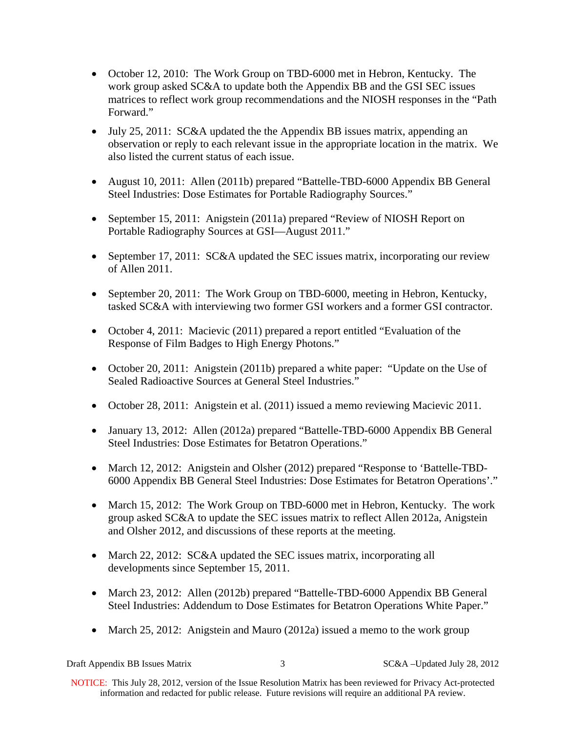- October 12, 2010: The Work Group on TBD-6000 met in Hebron, Kentucky. The work group asked SC&A to update both the Appendix BB and the GSI SEC issues matrices to reflect work group recommendations and the NIOSH responses in the "Path Forward."
- July 25, 2011: SC&A updated the the Appendix BB issues matrix, appending an observation or reply to each relevant issue in the appropriate location in the matrix. We also listed the current status of each issue.
- August 10, 2011: Allen (2011b) prepared "Battelle-TBD-6000 Appendix BB General Steel Industries: Dose Estimates for Portable Radiography Sources."
- September 15, 2011: Anigstein (2011a) prepared "Review of NIOSH Report on Portable Radiography Sources at GSI—August 2011."
- September 17, 2011: SC&A updated the SEC issues matrix, incorporating our review of Allen 2011.
- September 20, 2011: The Work Group on TBD-6000, meeting in Hebron, Kentucky, tasked SC&A with interviewing two former GSI workers and a former GSI contractor.
- October 4, 2011: Macievic (2011) prepared a report entitled "Evaluation of the Response of Film Badges to High Energy Photons."
- October 20, 2011: Anigstein (2011b) prepared a white paper: "Update on the Use of Sealed Radioactive Sources at General Steel Industries."
- October 28, 2011: Anigstein et al. (2011) issued a memo reviewing Macievic 2011.
- January 13, 2012: Allen (2012a) prepared "Battelle-TBD-6000 Appendix BB General Steel Industries: Dose Estimates for Betatron Operations."
- March 12, 2012: Anigstein and Olsher (2012) prepared "Response to 'Battelle-TBD-6000 Appendix BB General Steel Industries: Dose Estimates for Betatron Operations'."
- March 15, 2012: The Work Group on TBD-6000 met in Hebron, Kentucky. The work group asked SC&A to update the SEC issues matrix to reflect Allen 2012a, Anigstein and Olsher 2012, and discussions of these reports at the meeting.
- March 22, 2012: SC&A updated the SEC issues matrix, incorporating all developments since September 15, 2011.
- March 23, 2012: Allen (2012b) prepared "Battelle-TBD-6000 Appendix BB General Steel Industries: Addendum to Dose Estimates for Betatron Operations White Paper."
- March 25, 2012: Anigstein and Mauro (2012a) issued a memo to the work group

Draft Appendix BB Issues Matrix 3 SC&A –Updated July 28, 2012

NOTICE: This July 28, 2012, version of the Issue Resolution Matrix has been reviewed for Privacy Act-protected information and redacted for public release. Future revisions will require an additional PA review.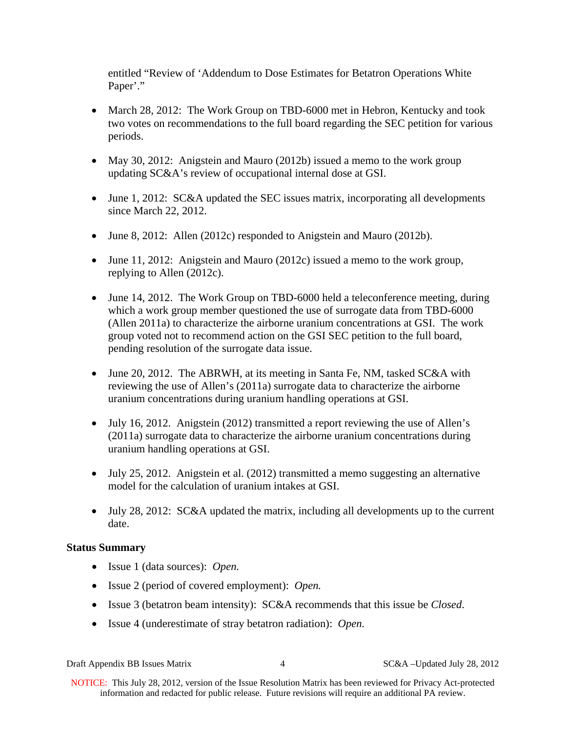entitled "Review of 'Addendum to Dose Estimates for Betatron Operations White Paper'."

- March 28, 2012: The Work Group on TBD-6000 met in Hebron, Kentucky and took two votes on recommendations to the full board regarding the SEC petition for various periods.
- May 30, 2012: Anigstein and Mauro (2012b) issued a memo to the work group updating SC&A's review of occupational internal dose at GSI.
- June 1, 2012: SC&A updated the SEC issues matrix, incorporating all developments since March 22, 2012.
- June 8, 2012: Allen (2012c) responded to Anigstein and Mauro (2012b).
- June 11, 2012: Anigstein and Mauro (2012c) issued a memo to the work group, replying to Allen (2012c).
- June 14, 2012. The Work Group on TBD-6000 held a teleconference meeting, during which a work group member questioned the use of surrogate data from TBD-6000 (Allen 2011a) to characterize the airborne uranium concentrations at GSI. The work group voted not to recommend action on the GSI SEC petition to the full board, pending resolution of the surrogate data issue.
- June 20, 2012. The ABRWH, at its meeting in Santa Fe, NM, tasked SC&A with reviewing the use of Allen's (2011a) surrogate data to characterize the airborne uranium concentrations during uranium handling operations at GSI.
- July 16, 2012. Anigstein (2012) transmitted a report reviewing the use of Allen's (2011a) surrogate data to characterize the airborne uranium concentrations during uranium handling operations at GSI.
- $\bullet$  July 25, 2012. Anigstein et al. (2012) transmitted a memo suggesting an alternative model for the calculation of uranium intakes at GSI.
- July 28, 2012: SC&A updated the matrix, including all developments up to the current date.

# **Status Summary**

- Issue 1 (data sources): *Open.*
- Issue 2 (period of covered employment): *Open.*
- Issue 3 (betatron beam intensity): SC&A recommends that this issue be *Closed*.
- Issue 4 (underestimate of stray betatron radiation): *Open.*

Draft Appendix BB Issues Matrix 4 SC&A –Updated July 28, 2012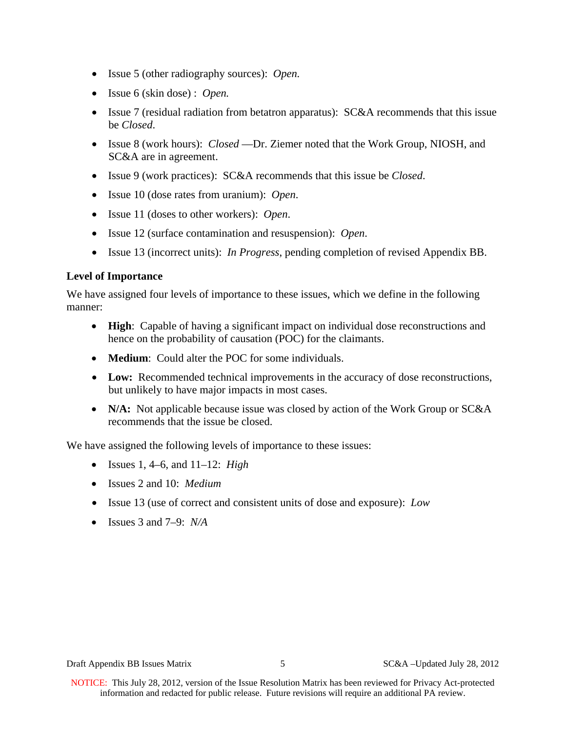- Issue 5 (other radiography sources): *Open.*
- Issue 6 (skin dose) : *Open.*
- Issue 7 (residual radiation from betatron apparatus): SC&A recommends that this issue be *Closed*.
- Issue 8 (work hours): *Closed* —Dr. Ziemer noted that the Work Group, NIOSH, and SC&A are in agreement.
- Issue 9 (work practices): SC&A recommends that this issue be *Closed*.
- Issue 10 (dose rates from uranium): *Open*.
- Issue 11 (doses to other workers): *Open*.
- Issue 12 (surface contamination and resuspension): *Open*.
- Issue 13 (incorrect units): *In Progress*, pending completion of revised Appendix BB.

# **Level of Importance**

We have assigned four levels of importance to these issues, which we define in the following manner:

- **High**: Capable of having a significant impact on individual dose reconstructions and hence on the probability of causation (POC) for the claimants.
- **Medium**: Could alter the POC for some individuals.
- **Low:** Recommended technical improvements in the accuracy of dose reconstructions, but unlikely to have major impacts in most cases.
- **N/A:** Not applicable because issue was closed by action of the Work Group or SC&A recommends that the issue be closed.

We have assigned the following levels of importance to these issues:

- Issues 1, 4–6, and 11–12: *High*
- Issues 2 and 10: *Medium*
- Issue 13 (use of correct and consistent units of dose and exposure): *Low*
- Issues 3 and 7–9: *N/A*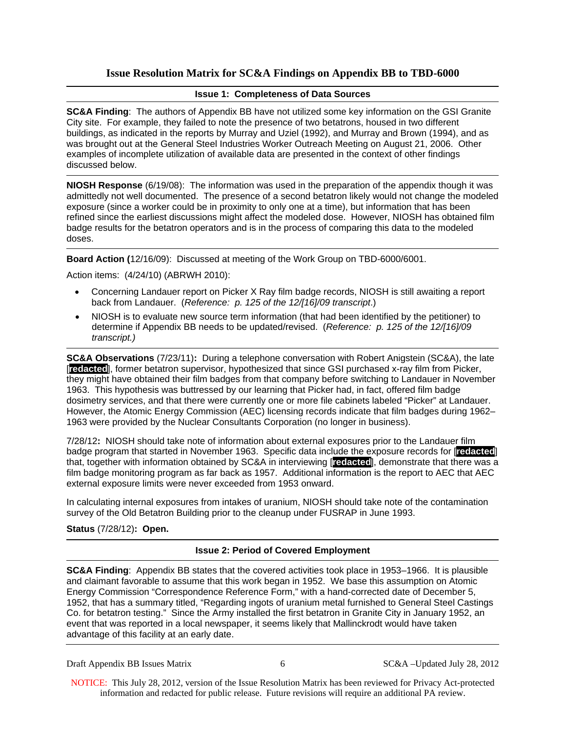# **Issue Resolution Matrix for SC&A Findings on Appendix BB to TBD-6000**

# **Issue 1: Completeness of Data Sources**

**SC&A Finding**: The authors of Appendix BB have not utilized some key information on the GSI Granite City site. For example, they failed to note the presence of two betatrons, housed in two different buildings, as indicated in the reports by Murray and Uziel (1992), and Murray and Brown (1994), and as was brought out at the General Steel Industries Worker Outreach Meeting on August 21, 2006. Other examples of incomplete utilization of available data are presented in the context of other findings discussed below.

**NIOSH Response** (6/19/08): The information was used in the preparation of the appendix though it was admittedly not well documented. The presence of a second betatron likely would not change the modeled exposure (since a worker could be in proximity to only one at a time), but information that has been refined since the earliest discussions might affect the modeled dose. However, NIOSH has obtained film badge results for the betatron operators and is in the process of comparing this data to the modeled doses.

**Board Action (**12/16/09): Discussed at meeting of the Work Group on TBD-6000/6001.

Action items: (4/24/10) (ABRWH 2010):

- Concerning Landauer report on Picker X Ray film badge records, NIOSH is still awaiting a report back from Landauer. (*Reference: p. 125 of the 12/[16]/09 transcript*.)
- NIOSH is to evaluate new source term information (that had been identified by the petitioner) to determine if Appendix BB needs to be updated/revised. (*Reference: p. 125 of the 12/[16]/09 transcript.)*

**SC&A Observations** (7/23/11)**:** During a telephone conversation with Robert Anigstein (SC&A), the late [**redacted**], former betatron supervisor, hypothesized that since GSI purchased x-ray film from Picker, they might have obtained their film badges from that company before switching to Landauer in November 1963. This hypothesis was buttressed by our learning that Picker had, in fact, offered film badge dosimetry services, and that there were currently one or more file cabinets labeled "Picker" at Landauer. However, the Atomic Energy Commission (AEC) licensing records indicate that film badges during 1962– 1963 were provided by the Nuclear Consultants Corporation (no longer in business).

7/28/12**:** NIOSH should take note of information about external exposures prior to the Landauer film badge program that started in November 1963. Specific data include the exposure records for [**redacted**] that, together with information obtained by SC&A in interviewing [**redacted**], demonstrate that there was a film badge monitoring program as far back as 1957. Additional information is the report to AEC that AEC external exposure limits were never exceeded from 1953 onward.

In calculating internal exposures from intakes of uranium, NIOSH should take note of the contamination survey of the Old Betatron Building prior to the cleanup under FUSRAP in June 1993.

**Status** (7/28/12)**: Open.**

# **Issue 2: Period of Covered Employment**

**SC&A Finding**: Appendix BB states that the covered activities took place in 1953–1966. It is plausible and claimant favorable to assume that this work began in 1952. We base this assumption on Atomic Energy Commission "Correspondence Reference Form," with a hand-corrected date of December 5, 1952, that has a summary titled, "Regarding ingots of uranium metal furnished to General Steel Castings Co. for betatron testing." Since the Army installed the first betatron in Granite City in January 1952, an event that was reported in a local newspaper, it seems likely that Mallinckrodt would have taken advantage of this facility at an early date.

Draft Appendix BB Issues Matrix 6 6 SC&A –Updated July 28, 2012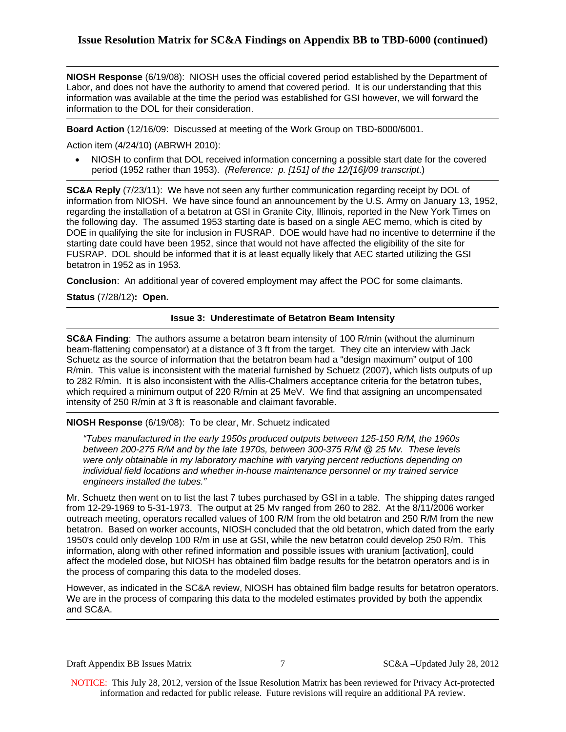**NIOSH Response** (6/19/08): NIOSH uses the official covered period established by the Department of Labor, and does not have the authority to amend that covered period. It is our understanding that this information was available at the time the period was established for GSI however, we will forward the information to the DOL for their consideration.

**Board Action** (12/16/09: Discussed at meeting of the Work Group on TBD-6000/6001.

Action item (4/24/10) (ABRWH 2010):

 NIOSH to confirm that DOL received information concerning a possible start date for the covered period (1952 rather than 1953). *(Reference: p. [151] of the 12/[16]/09 transcript*.)

**SC&A Reply** (7/23/11): We have not seen any further communication regarding receipt by DOL of information from NIOSH. We have since found an announcement by the U.S. Army on January 13, 1952, regarding the installation of a betatron at GSI in Granite City, Illinois, reported in the New York Times on the following day. The assumed 1953 starting date is based on a single AEC memo, which is cited by DOE in qualifying the site for inclusion in FUSRAP. DOE would have had no incentive to determine if the starting date could have been 1952, since that would not have affected the eligibility of the site for FUSRAP. DOL should be informed that it is at least equally likely that AEC started utilizing the GSI betatron in 1952 as in 1953.

**Conclusion**: An additional year of covered employment may affect the POC for some claimants.

**Status** (7/28/12)**: Open.**

## **Issue 3: Underestimate of Betatron Beam Intensity**

**SC&A Finding**: The authors assume a betatron beam intensity of 100 R/min (without the aluminum beam-flattening compensator) at a distance of 3 ft from the target. They cite an interview with Jack Schuetz as the source of information that the betatron beam had a "design maximum" output of 100 R/min. This value is inconsistent with the material furnished by Schuetz (2007), which lists outputs of up to 282 R/min. It is also inconsistent with the Allis-Chalmers acceptance criteria for the betatron tubes, which required a minimum output of 220 R/min at 25 MeV. We find that assigning an uncompensated intensity of 250 R/min at 3 ft is reasonable and claimant favorable.

**NIOSH Response** (6/19/08): To be clear, Mr. Schuetz indicated

*"Tubes manufactured in the early 1950s produced outputs between 125-150 R/M, the 1960s between 200-275 R/M and by the late 1970s, between 300-375 R/M @ 25 Mv. These levels were only obtainable in my laboratory machine with varying percent reductions depending on individual field locations and whether in-house maintenance personnel or my trained service engineers installed the tubes."* 

Mr. Schuetz then went on to list the last 7 tubes purchased by GSI in a table. The shipping dates ranged from 12-29-1969 to 5-31-1973. The output at 25 Mv ranged from 260 to 282. At the 8/11/2006 worker outreach meeting, operators recalled values of 100 R/M from the old betatron and 250 R/M from the new betatron. Based on worker accounts, NIOSH concluded that the old betatron, which dated from the early 1950's could only develop 100 R/m in use at GSI, while the new betatron could develop 250 R/m. This information, along with other refined information and possible issues with uranium [activation], could affect the modeled dose, but NIOSH has obtained film badge results for the betatron operators and is in the process of comparing this data to the modeled doses.

However, as indicated in the SC&A review, NIOSH has obtained film badge results for betatron operators. We are in the process of comparing this data to the modeled estimates provided by both the appendix and SC&A.

Draft Appendix BB Issues Matrix 7 SC&A –Updated July 28, 2012

NOTICE: This July 28, 2012, version of the Issue Resolution Matrix has been reviewed for Privacy Act-protected information and redacted for public release. Future revisions will require an additional PA review.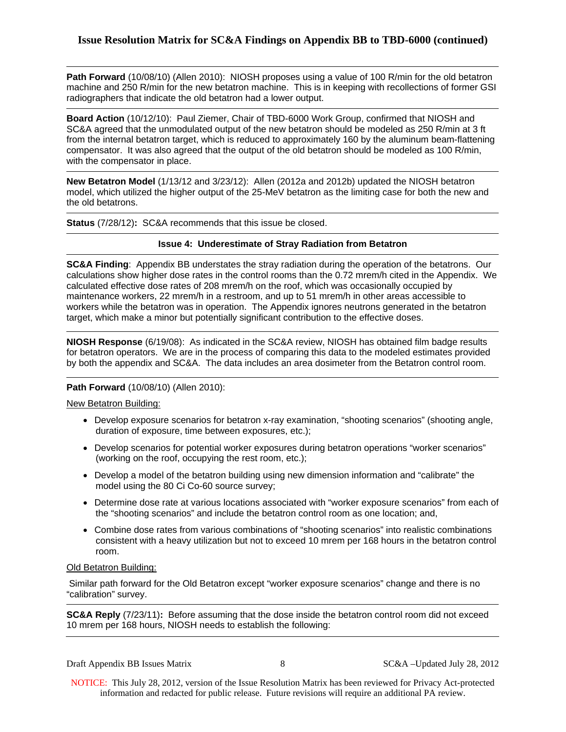**Path Forward** (10/08/10) (Allen 2010): NIOSH proposes using a value of 100 R/min for the old betatron machine and 250 R/min for the new betatron machine. This is in keeping with recollections of former GSI radiographers that indicate the old betatron had a lower output.

**Board Action** (10/12/10): Paul Ziemer, Chair of TBD-6000 Work Group, confirmed that NIOSH and SC&A agreed that the unmodulated output of the new betatron should be modeled as 250 R/min at 3 ft from the internal betatron target, which is reduced to approximately 160 by the aluminum beam-flattening compensator. It was also agreed that the output of the old betatron should be modeled as 100 R/min, with the compensator in place.

**New Betatron Model** (1/13/12 and 3/23/12): Allen (2012a and 2012b) updated the NIOSH betatron model, which utilized the higher output of the 25-MeV betatron as the limiting case for both the new and the old betatrons.

**Status** (7/28/12)**:** SC&A recommends that this issue be closed.

#### **Issue 4: Underestimate of Stray Radiation from Betatron**

**SC&A Finding**: Appendix BB understates the stray radiation during the operation of the betatrons. Our calculations show higher dose rates in the control rooms than the 0.72 mrem/h cited in the Appendix. We calculated effective dose rates of 208 mrem/h on the roof, which was occasionally occupied by maintenance workers, 22 mrem/h in a restroom, and up to 51 mrem/h in other areas accessible to workers while the betatron was in operation. The Appendix ignores neutrons generated in the betatron target, which make a minor but potentially significant contribution to the effective doses.

**NIOSH Response** (6/19/08): As indicated in the SC&A review, NIOSH has obtained film badge results for betatron operators. We are in the process of comparing this data to the modeled estimates provided by both the appendix and SC&A. The data includes an area dosimeter from the Betatron control room.

## **Path Forward** (10/08/10) (Allen 2010):

New Betatron Building:

- Develop exposure scenarios for betatron x-ray examination, "shooting scenarios" (shooting angle, duration of exposure, time between exposures, etc.);
- Develop scenarios for potential worker exposures during betatron operations "worker scenarios" (working on the roof, occupying the rest room, etc.);
- Develop a model of the betatron building using new dimension information and "calibrate" the model using the 80 Ci Co-60 source survey;
- Determine dose rate at various locations associated with "worker exposure scenarios" from each of the "shooting scenarios" and include the betatron control room as one location; and,
- Combine dose rates from various combinations of "shooting scenarios" into realistic combinations consistent with a heavy utilization but not to exceed 10 mrem per 168 hours in the betatron control room.

#### Old Betatron Building:

 Similar path forward for the Old Betatron except "worker exposure scenarios" change and there is no "calibration" survey.

**SC&A Reply** (7/23/11)**:** Before assuming that the dose inside the betatron control room did not exceed 10 mrem per 168 hours, NIOSH needs to establish the following: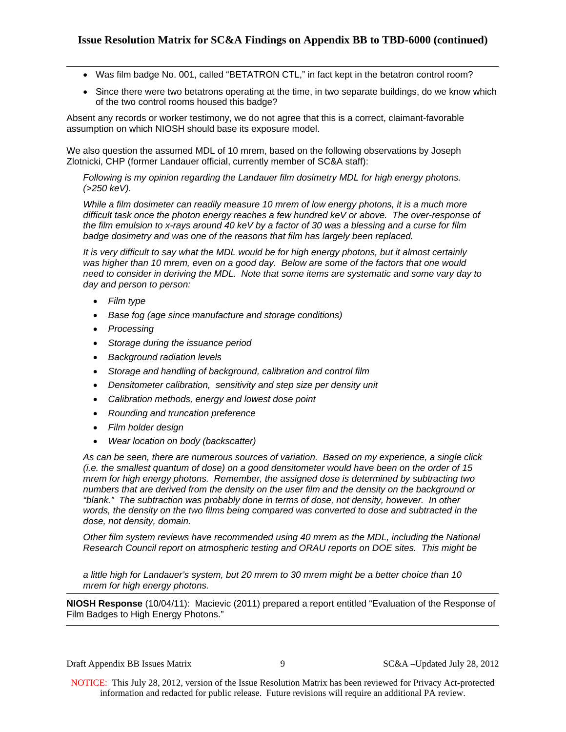- Was film badge No. 001, called "BETATRON CTL," in fact kept in the betatron control room?
- Since there were two betatrons operating at the time, in two separate buildings, do we know which of the two control rooms housed this badge?

Absent any records or worker testimony, we do not agree that this is a correct, claimant-favorable assumption on which NIOSH should base its exposure model.

We also question the assumed MDL of 10 mrem, based on the following observations by Joseph Zlotnicki, CHP (former Landauer official, currently member of SC&A staff):

*Following is my opinion regarding the Landauer film dosimetry MDL for high energy photons. (>250 keV).* 

*While a film dosimeter can readily measure 10 mrem of low energy photons, it is a much more difficult task once the photon energy reaches a few hundred keV or above. The over-response of the film emulsion to x-rays around 40 keV by a factor of 30 was a blessing and a curse for film badge dosimetry and was one of the reasons that film has largely been replaced.* 

*It is very difficult to say what the MDL would be for high energy photons, but it almost certainly was higher than 10 mrem, even on a good day. Below are some of the factors that one would need to consider in deriving the MDL. Note that some items are systematic and some vary day to day and person to person:* 

- *Film type*
- *Base fog (age since manufacture and storage conditions)*
- *Processing*
- *Storage during the issuance period*
- *Background radiation levels*
- *Storage and handling of background, calibration and control film*
- *Densitometer calibration, sensitivity and step size per density unit*
- *Calibration methods, energy and lowest dose point*
- *Rounding and truncation preference*
- *Film holder design*
- *Wear location on body (backscatter)*

*As can be seen, there are numerous sources of variation. Based on my experience, a single click (i.e. the smallest quantum of dose) on a good densitometer would have been on the order of 15 mrem for high energy photons. Remember, the assigned dose is determined by subtracting two numbers that are derived from the density on the user film and the density on the background or "blank." The subtraction was probably done in terms of dose, not density, however. In other words, the density on the two films being compared was converted to dose and subtracted in the dose, not density, domain.* 

*Other film system reviews have recommended using 40 mrem as the MDL, including the National Research Council report on atmospheric testing and ORAU reports on DOE sites. This might be* 

*a little high for Landauer's system, but 20 mrem to 30 mrem might be a better choice than 10 mrem for high energy photons.*

**NIOSH Response** (10/04/11): Macievic (2011) prepared a report entitled "Evaluation of the Response of Film Badges to High Energy Photons."

Draft Appendix BB Issues Matrix 9 SC&A –Updated July 28, 2012

NOTICE: This July 28, 2012, version of the Issue Resolution Matrix has been reviewed for Privacy Act-protected information and redacted for public release. Future revisions will require an additional PA review.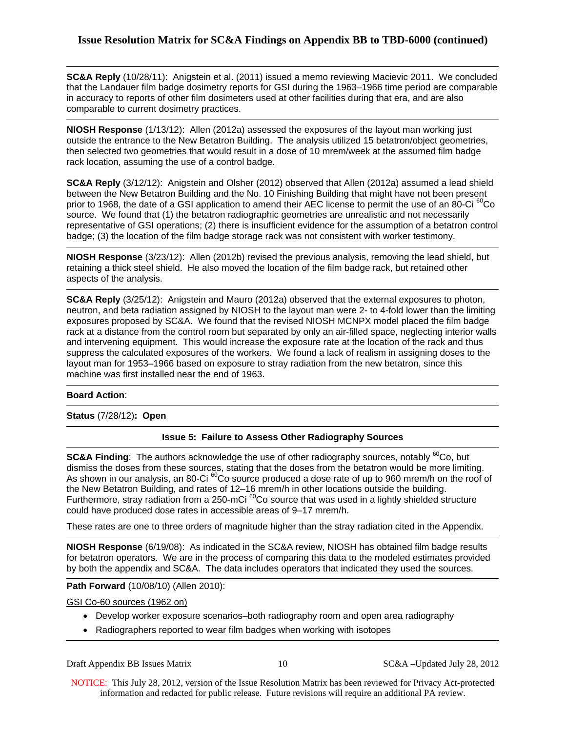**SC&A Reply** (10/28/11): Anigstein et al. (2011) issued a memo reviewing Macievic 2011. We concluded that the Landauer film badge dosimetry reports for GSI during the 1963–1966 time period are comparable in accuracy to reports of other film dosimeters used at other facilities during that era, and are also comparable to current dosimetry practices.

**NIOSH Response** (1/13/12): Allen (2012a) assessed the exposures of the layout man working just outside the entrance to the New Betatron Building. The analysis utilized 15 betatron/object geometries, then selected two geometries that would result in a dose of 10 mrem/week at the assumed film badge rack location, assuming the use of a control badge.

**SC&A Reply** (3/12/12): Anigstein and Olsher (2012) observed that Allen (2012a) assumed a lead shield between the New Betatron Building and the No. 10 Finishing Building that might have not been present prior to 1968, the date of a GSI application to amend their AEC license to permit the use of an 80-Ci<sup>60</sup>Co source. We found that (1) the betatron radiographic geometries are unrealistic and not necessarily representative of GSI operations; (2) there is insufficient evidence for the assumption of a betatron control badge; (3) the location of the film badge storage rack was not consistent with worker testimony.

**NIOSH Response** (3/23/12): Allen (2012b) revised the previous analysis, removing the lead shield, but retaining a thick steel shield. He also moved the location of the film badge rack, but retained other aspects of the analysis.

**SC&A Reply** (3/25/12): Anigstein and Mauro (2012a) observed that the external exposures to photon, neutron, and beta radiation assigned by NIOSH to the layout man were 2- to 4-fold lower than the limiting exposures proposed by SC&A. We found that the revised NIOSH MCNPX model placed the film badge rack at a distance from the control room but separated by only an air-filled space, neglecting interior walls and intervening equipment. This would increase the exposure rate at the location of the rack and thus suppress the calculated exposures of the workers. We found a lack of realism in assigning doses to the layout man for 1953–1966 based on exposure to stray radiation from the new betatron, since this machine was first installed near the end of 1963.

#### **Board Action**:

**Status** (7/28/12)**: Open**

# **Issue 5: Failure to Assess Other Radiography Sources**

**SC&A Finding:** The authors acknowledge the use of other radiography sources, notably <sup>60</sup>Co, but dismiss the doses from these sources, stating that the doses from the betatron would be more limiting. As shown in our analysis, an 80-Ci <sup>60</sup>Co source produced a dose rate of up to 960 mrem/h on the roof of the New Betatron Building, and rates of 12–16 mrem/h in other locations outside the building. Furthermore, stray radiation from a 250-mCi<sup>60</sup>Co source that was used in a lightly shielded structure could have produced dose rates in accessible areas of 9–17 mrem/h.

These rates are one to three orders of magnitude higher than the stray radiation cited in the Appendix.

**NIOSH Response** (6/19/08): As indicated in the SC&A review, NIOSH has obtained film badge results for betatron operators. We are in the process of comparing this data to the modeled estimates provided by both the appendix and SC&A. The data includes operators that indicated they used the sources.

## **Path Forward** (10/08/10) (Allen 2010):

GSI Co-60 sources (1962 on)

- Develop worker exposure scenarios–both radiography room and open area radiography
- Radiographers reported to wear film badges when working with isotopes

Draft Appendix BB Issues Matrix 10 10 SC&A –Updated July 28, 2012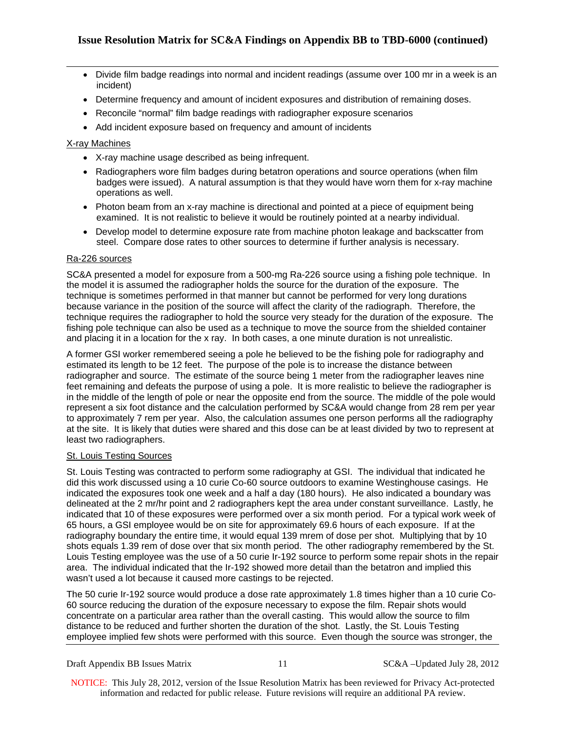- Divide film badge readings into normal and incident readings (assume over 100 mr in a week is an incident)
- Determine frequency and amount of incident exposures and distribution of remaining doses.
- Reconcile "normal" film badge readings with radiographer exposure scenarios
- Add incident exposure based on frequency and amount of incidents

# X-ray Machines

- X-ray machine usage described as being infrequent.
- Radiographers wore film badges during betatron operations and source operations (when film badges were issued). A natural assumption is that they would have worn them for x-ray machine operations as well.
- Photon beam from an x-ray machine is directional and pointed at a piece of equipment being examined. It is not realistic to believe it would be routinely pointed at a nearby individual.
- Develop model to determine exposure rate from machine photon leakage and backscatter from steel. Compare dose rates to other sources to determine if further analysis is necessary.

# Ra-226 sources

SC&A presented a model for exposure from a 500-mg Ra-226 source using a fishing pole technique. In the model it is assumed the radiographer holds the source for the duration of the exposure. The technique is sometimes performed in that manner but cannot be performed for very long durations because variance in the position of the source will affect the clarity of the radiograph. Therefore, the technique requires the radiographer to hold the source very steady for the duration of the exposure. The fishing pole technique can also be used as a technique to move the source from the shielded container and placing it in a location for the x ray. In both cases, a one minute duration is not unrealistic.

A former GSI worker remembered seeing a pole he believed to be the fishing pole for radiography and estimated its length to be 12 feet. The purpose of the pole is to increase the distance between radiographer and source. The estimate of the source being 1 meter from the radiographer leaves nine feet remaining and defeats the purpose of using a pole. It is more realistic to believe the radiographer is in the middle of the length of pole or near the opposite end from the source. The middle of the pole would represent a six foot distance and the calculation performed by SC&A would change from 28 rem per year to approximately 7 rem per year. Also, the calculation assumes one person performs all the radiography at the site. It is likely that duties were shared and this dose can be at least divided by two to represent at least two radiographers.

# St. Louis Testing Sources

St. Louis Testing was contracted to perform some radiography at GSI. The individual that indicated he did this work discussed using a 10 curie Co-60 source outdoors to examine Westinghouse casings. He indicated the exposures took one week and a half a day (180 hours). He also indicated a boundary was delineated at the 2 mr/hr point and 2 radiographers kept the area under constant surveillance. Lastly, he indicated that 10 of these exposures were performed over a six month period. For a typical work week of 65 hours, a GSI employee would be on site for approximately 69.6 hours of each exposure. If at the radiography boundary the entire time, it would equal 139 mrem of dose per shot. Multiplying that by 10 shots equals 1.39 rem of dose over that six month period. The other radiography remembered by the St. Louis Testing employee was the use of a 50 curie Ir-192 source to perform some repair shots in the repair area. The individual indicated that the Ir-192 showed more detail than the betatron and implied this wasn't used a lot because it caused more castings to be rejected.

The 50 curie Ir-192 source would produce a dose rate approximately 1.8 times higher than a 10 curie Co-60 source reducing the duration of the exposure necessary to expose the film. Repair shots would concentrate on a particular area rather than the overall casting. This would allow the source to film distance to be reduced and further shorten the duration of the shot. Lastly, the St. Louis Testing employee implied few shots were performed with this source. Even though the source was stronger, the

Draft Appendix BB Issues Matrix 11 SC&A –Updated July 28, 2012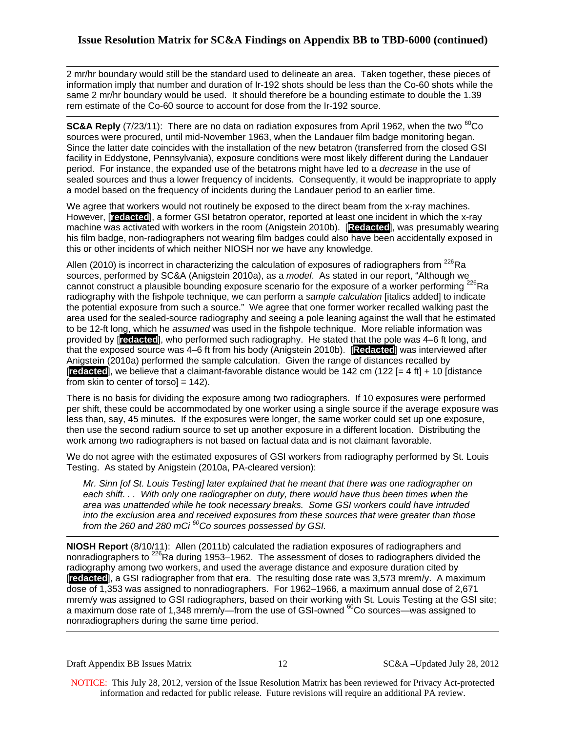2 mr/hr boundary would still be the standard used to delineate an area. Taken together, these pieces of information imply that number and duration of Ir-192 shots should be less than the Co-60 shots while the same 2 mr/hr boundary would be used. It should therefore be a bounding estimate to double the 1.39 rem estimate of the Co-60 source to account for dose from the Ir-192 source.

**SC&A Reply** (7/23/11): There are no data on radiation exposures from April 1962, when the two <sup>60</sup>Co sources were procured, until mid-November 1963, when the Landauer film badge monitoring began. Since the latter date coincides with the installation of the new betatron (transferred from the closed GSI facility in Eddystone, Pennsylvania), exposure conditions were most likely different during the Landauer period. For instance, the expanded use of the betatrons might have led to a *decrease* in the use of sealed sources and thus a lower frequency of incidents. Consequently, it would be inappropriate to apply a model based on the frequency of incidents during the Landauer period to an earlier time.

We agree that workers would not routinely be exposed to the direct beam from the x-ray machines. However, [**redacted**], a former GSI betatron operator, reported at least one incident in which the x-ray machine was activated with workers in the room (Anigstein 2010b). [**Redacted**], was presumably wearing his film badge, non-radiographers not wearing film badges could also have been accidentally exposed in this or other incidents of which neither NIOSH nor we have any knowledge.

Allen (2010) is incorrect in characterizing the calculation of exposures of radiographers from  $^{226}$ Ra sources, performed by SC&A (Anigstein 2010a), as a *model*. As stated in our report, "Although we cannot construct a plausible bounding exposure scenario for the exposure of a worker performing <sup>226</sup>Ra radiography with the fishpole technique, we can perform a *sample calculation* [italics added] to indicate the potential exposure from such a source." We agree that one former worker recalled walking past the area used for the sealed-source radiography and seeing a pole leaning against the wall that he estimated to be 12-ft long, which he *assumed* was used in the fishpole technique. More reliable information was provided by [**redacted**], who performed such radiography. He stated that the pole was 4–6 ft long, and that the exposed source was 4–6 ft from his body (Anigstein 2010b). [**Redacted**] was interviewed after Anigstein (2010a) performed the sample calculation. Given the range of distances recalled by [**redacted**], we believe that a claimant-favorable distance would be 142 cm (122 [= 4 ft] + 10 [distance from skin to center of torso] = 142).

There is no basis for dividing the exposure among two radiographers. If 10 exposures were performed per shift, these could be accommodated by one worker using a single source if the average exposure was less than, say, 45 minutes. If the exposures were longer, the same worker could set up one exposure, then use the second radium source to set up another exposure in a different location. Distributing the work among two radiographers is not based on factual data and is not claimant favorable.

We do not agree with the estimated exposures of GSI workers from radiography performed by St. Louis Testing. As stated by Anigstein (2010a, PA-cleared version):

*Mr. Sinn [of St. Louis Testing] later explained that he meant that there was one radiographer on each shift. . . With only one radiographer on duty, there would have thus been times when the area was unattended while he took necessary breaks. Some GSI workers could have intruded into the exclusion area and received exposures from these sources that were greater than those from the 260 and 280 mCi 60Co sources possessed by GSI.* 

**NIOSH Report** (8/10/11): Allen (2011b) calculated the radiation exposures of radiographers and nonradiographers to <sup>226</sup>Ra during 1953–1962. The assessment of doses to radiographers divided the radiography among two workers, and used the average distance and exposure duration cited by [**redacted**], a GSI radiographer from that era. The resulting dose rate was 3,573 mrem/y. A maximum dose of 1,353 was assigned to nonradiographers. For 1962–1966, a maximum annual dose of 2,671 mrem/y was assigned to GSI radiographers, based on their working with St. Louis Testing at the GSI site; a maximum dose rate of 1,348 mrem/y—from the use of GSI-owned <sup>60</sup>Co sources—was assigned to nonradiographers during the same time period.

Draft Appendix BB Issues Matrix 12 SC&A –Updated July 28, 2012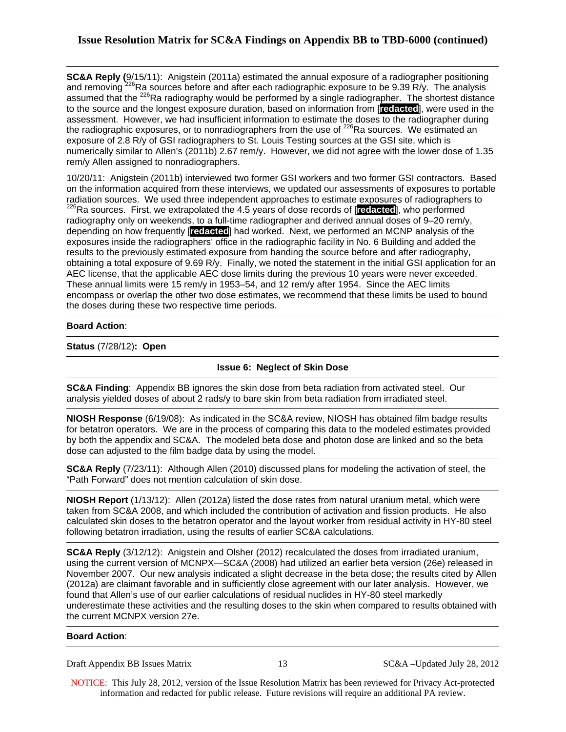**SC&A Reply (**9/15/11): Anigstein (2011a) estimated the annual exposure of a radiographer positioning and removing <sup>226</sup>Ra sources before and after each radiographic exposure to be 9.39 R/y. The analysis assumed that the <sup>226</sup>Ra radiography would be performed by a single radiographer. The shortest distance to the source and the longest exposure duration, based on information from [**redacted**], were used in the assessment. However, we had insufficient information to estimate the doses to the radiographer during the radiographic exposures, or to nonradiographers from the use of <sup>226</sup>Ra sources. We estimated an exposure of 2.8 R/y of GSI radiographers to St. Louis Testing sources at the GSI site, which is numerically similar to Allen's (2011b) 2.67 rem/y. However, we did not agree with the lower dose of 1.35 rem/y Allen assigned to nonradiographers.

10/20/11: Anigstein (2011b) interviewed two former GSI workers and two former GSI contractors. Based on the information acquired from these interviews, we updated our assessments of exposures to portable radiation sources. We used three independent approaches to estimate exposures of radiographers to <sup>226</sup>Ra sources. First, we extrapolated the 4.5 years of dose records of [**redacted**], who performed radiography only on weekends, to a full-time radiographer and derived annual doses of 9–20 rem/y, depending on how frequently [**redacted**] had worked. Next, we performed an MCNP analysis of the exposures inside the radiographers' office in the radiographic facility in No. 6 Building and added the results to the previously estimated exposure from handing the source before and after radiography, obtaining a total exposure of 9.69 R/y. Finally, we noted the statement in the initial GSI application for an AEC license, that the applicable AEC dose limits during the previous 10 years were never exceeded. These annual limits were 15 rem/y in 1953–54, and 12 rem/y after 1954. Since the AEC limits encompass or overlap the other two dose estimates, we recommend that these limits be used to bound the doses during these two respective time periods.

## **Board Action**:

**Status** (7/28/12)**: Open**

## **Issue 6: Neglect of Skin Dose**

**SC&A Finding**: Appendix BB ignores the skin dose from beta radiation from activated steel. Our analysis yielded doses of about 2 rads/y to bare skin from beta radiation from irradiated steel.

**NIOSH Response** (6/19/08): As indicated in the SC&A review, NIOSH has obtained film badge results for betatron operators. We are in the process of comparing this data to the modeled estimates provided by both the appendix and SC&A. The modeled beta dose and photon dose are linked and so the beta dose can adjusted to the film badge data by using the model.

**SC&A Reply** (7/23/11): Although Allen (2010) discussed plans for modeling the activation of steel, the "Path Forward" does not mention calculation of skin dose.

**NIOSH Report** (1/13/12): Allen (2012a) listed the dose rates from natural uranium metal, which were taken from SC&A 2008, and which included the contribution of activation and fission products. He also calculated skin doses to the betatron operator and the layout worker from residual activity in HY-80 steel following betatron irradiation, using the results of earlier SC&A calculations.

**SC&A Reply** (3/12/12): Anigstein and Olsher (2012) recalculated the doses from irradiated uranium, using the current version of MCNPX—SC&A (2008) had utilized an earlier beta version (26e) released in November 2007. Our new analysis indicated a slight decrease in the beta dose; the results cited by Allen (2012a) are claimant favorable and in sufficiently close agreement with our later analysis. However, we found that Allen's use of our earlier calculations of residual nuclides in HY-80 steel markedly underestimate these activities and the resulting doses to the skin when compared to results obtained with the current MCNPX version 27e.

#### **Board Action**:

Draft Appendix BB Issues Matrix 13 SC&A –Updated July 28, 2012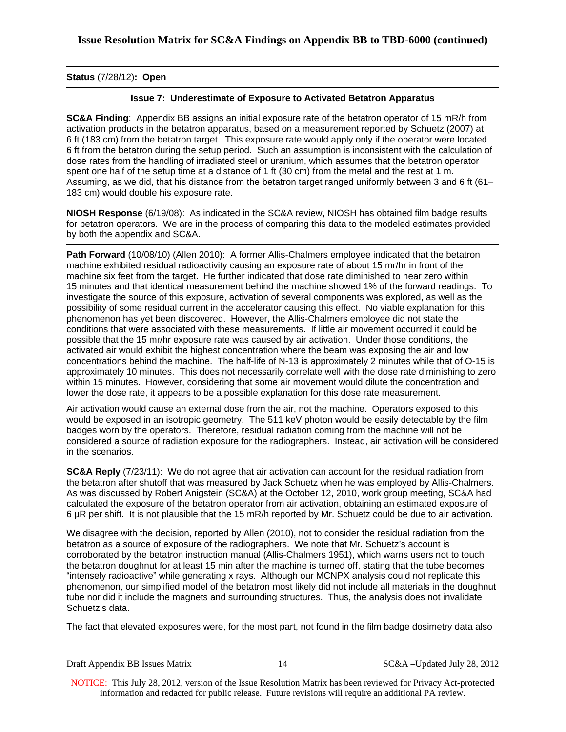## **Status** (7/28/12)**: Open**

## **Issue 7: Underestimate of Exposure to Activated Betatron Apparatus**

**SC&A Finding**: Appendix BB assigns an initial exposure rate of the betatron operator of 15 mR/h from activation products in the betatron apparatus, based on a measurement reported by Schuetz (2007) at 6 ft (183 cm) from the betatron target. This exposure rate would apply only if the operator were located 6 ft from the betatron during the setup period. Such an assumption is inconsistent with the calculation of dose rates from the handling of irradiated steel or uranium, which assumes that the betatron operator spent one half of the setup time at a distance of 1 ft (30 cm) from the metal and the rest at 1 m. Assuming, as we did, that his distance from the betatron target ranged uniformly between 3 and 6 ft (61– 183 cm) would double his exposure rate.

**NIOSH Response** (6/19/08): As indicated in the SC&A review, NIOSH has obtained film badge results for betatron operators. We are in the process of comparing this data to the modeled estimates provided by both the appendix and SC&A.

Path Forward (10/08/10) (Allen 2010): A former Allis-Chalmers employee indicated that the betatron machine exhibited residual radioactivity causing an exposure rate of about 15 mr/hr in front of the machine six feet from the target. He further indicated that dose rate diminished to near zero within 15 minutes and that identical measurement behind the machine showed 1% of the forward readings. To investigate the source of this exposure, activation of several components was explored, as well as the possibility of some residual current in the accelerator causing this effect. No viable explanation for this phenomenon has yet been discovered. However, the Allis-Chalmers employee did not state the conditions that were associated with these measurements. If little air movement occurred it could be possible that the 15 mr/hr exposure rate was caused by air activation. Under those conditions, the activated air would exhibit the highest concentration where the beam was exposing the air and low concentrations behind the machine. The half-life of N-13 is approximately 2 minutes while that of O-15 is approximately 10 minutes. This does not necessarily correlate well with the dose rate diminishing to zero within 15 minutes. However, considering that some air movement would dilute the concentration and lower the dose rate, it appears to be a possible explanation for this dose rate measurement.

Air activation would cause an external dose from the air, not the machine. Operators exposed to this would be exposed in an isotropic geometry. The 511 keV photon would be easily detectable by the film badges worn by the operators. Therefore, residual radiation coming from the machine will not be considered a source of radiation exposure for the radiographers. Instead, air activation will be considered in the scenarios.

**SC&A Reply** (7/23/11): We do not agree that air activation can account for the residual radiation from the betatron after shutoff that was measured by Jack Schuetz when he was employed by Allis-Chalmers. As was discussed by Robert Anigstein (SC&A) at the October 12, 2010, work group meeting, SC&A had calculated the exposure of the betatron operator from air activation, obtaining an estimated exposure of 6 µR per shift. It is not plausible that the 15 mR/h reported by Mr. Schuetz could be due to air activation.

We disagree with the decision, reported by Allen (2010), not to consider the residual radiation from the betatron as a source of exposure of the radiographers. We note that Mr. Schuetz's account is corroborated by the betatron instruction manual (Allis-Chalmers 1951), which warns users not to touch the betatron doughnut for at least 15 min after the machine is turned off, stating that the tube becomes "intensely radioactive" while generating x rays. Although our MCNPX analysis could not replicate this phenomenon, our simplified model of the betatron most likely did not include all materials in the doughnut tube nor did it include the magnets and surrounding structures. Thus, the analysis does not invalidate Schuetz's data.

The fact that elevated exposures were, for the most part, not found in the film badge dosimetry data also

Draft Appendix BB Issues Matrix 14 SC&A –Updated July 28, 2012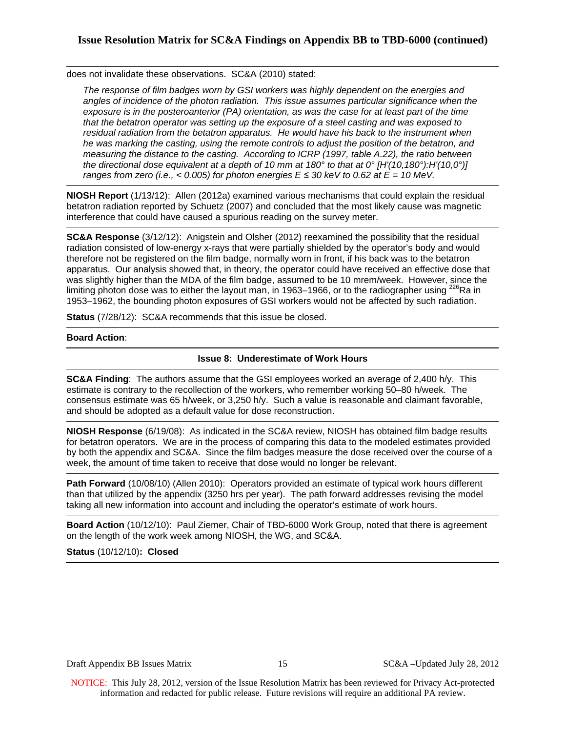does not invalidate these observations. SC&A (2010) stated:

*The response of film badges worn by GSI workers was highly dependent on the energies and angles of incidence of the photon radiation. This issue assumes particular significance when the exposure is in the posteroanterior (PA) orientation, as was the case for at least part of the time that the betatron operator was setting up the exposure of a steel casting and was exposed to residual radiation from the betatron apparatus. He would have his back to the instrument when he was marking the casting, using the remote controls to adjust the position of the betatron, and measuring the distance to the casting. According to ICRP (1997, table A.22), the ratio between the directional dose equivalent at a depth of 10 mm at 180° to that at 0° [H'(10,180°):H'(10,0°)] ranges from zero (i.e., < 0.005) for photon energies*  $E \le 30$  *keV to 0.62 at*  $E = 10$  *MeV.* 

**NIOSH Report** (1/13/12): Allen (2012a) examined various mechanisms that could explain the residual betatron radiation reported by Schuetz (2007) and concluded that the most likely cause was magnetic interference that could have caused a spurious reading on the survey meter.

**SC&A Response** (3/12/12): Anigstein and Olsher (2012) reexamined the possibility that the residual radiation consisted of low-energy x-rays that were partially shielded by the operator's body and would therefore not be registered on the film badge, normally worn in front, if his back was to the betatron apparatus. Our analysis showed that, in theory, the operator could have received an effective dose that was slightly higher than the MDA of the film badge, assumed to be 10 mrem/week. However, since the limiting photon dose was to either the layout man, in 1963–1966, or to the radiographer using  $^{226}$ Ra in 1953–1962, the bounding photon exposures of GSI workers would not be affected by such radiation.

**Status** (7/28/12): SC&A recommends that this issue be closed.

## **Board Action**:

## **Issue 8: Underestimate of Work Hours**

**SC&A Finding**: The authors assume that the GSI employees worked an average of 2,400 h/y. This estimate is contrary to the recollection of the workers, who remember working 50–80 h/week. The consensus estimate was 65 h/week, or 3,250 h/y. Such a value is reasonable and claimant favorable, and should be adopted as a default value for dose reconstruction.

**NIOSH Response** (6/19/08): As indicated in the SC&A review, NIOSH has obtained film badge results for betatron operators. We are in the process of comparing this data to the modeled estimates provided by both the appendix and SC&A. Since the film badges measure the dose received over the course of a week, the amount of time taken to receive that dose would no longer be relevant.

**Path Forward** (10/08/10) (Allen 2010): Operators provided an estimate of typical work hours different than that utilized by the appendix (3250 hrs per year). The path forward addresses revising the model taking all new information into account and including the operator's estimate of work hours.

**Board Action** (10/12/10): Paul Ziemer, Chair of TBD-6000 Work Group, noted that there is agreement on the length of the work week among NIOSH, the WG, and SC&A.

# **Status** (10/12/10)**: Closed**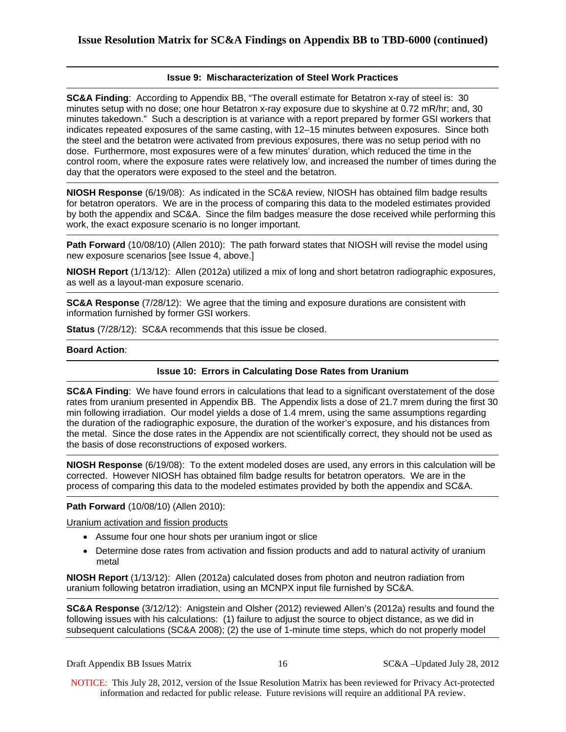## **Issue 9: Mischaracterization of Steel Work Practices**

**SC&A Finding**: According to Appendix BB, "The overall estimate for Betatron x-ray of steel is: 30 minutes setup with no dose; one hour Betatron x-ray exposure due to skyshine at 0.72 mR/hr; and, 30 minutes takedown." Such a description is at variance with a report prepared by former GSI workers that indicates repeated exposures of the same casting, with 12–15 minutes between exposures. Since both the steel and the betatron were activated from previous exposures, there was no setup period with no dose. Furthermore, most exposures were of a few minutes' duration, which reduced the time in the control room, where the exposure rates were relatively low, and increased the number of times during the day that the operators were exposed to the steel and the betatron.

**NIOSH Response** (6/19/08): As indicated in the SC&A review, NIOSH has obtained film badge results for betatron operators. We are in the process of comparing this data to the modeled estimates provided by both the appendix and SC&A. Since the film badges measure the dose received while performing this work, the exact exposure scenario is no longer important.

**Path Forward** (10/08/10) (Allen 2010): The path forward states that NIOSH will revise the model using new exposure scenarios [see Issue 4, above.]

**NIOSH Report** (1/13/12): Allen (2012a) utilized a mix of long and short betatron radiographic exposures, as well as a layout-man exposure scenario.

**SC&A Response** (7/28/12): We agree that the timing and exposure durations are consistent with information furnished by former GSI workers.

**Status** (7/28/12): SC&A recommends that this issue be closed.

#### **Board Action**:

#### **Issue 10: Errors in Calculating Dose Rates from Uranium**

**SC&A Finding**: We have found errors in calculations that lead to a significant overstatement of the dose rates from uranium presented in Appendix BB. The Appendix lists a dose of 21.7 mrem during the first 30 min following irradiation. Our model yields a dose of 1.4 mrem, using the same assumptions regarding the duration of the radiographic exposure, the duration of the worker's exposure, and his distances from the metal. Since the dose rates in the Appendix are not scientifically correct, they should not be used as the basis of dose reconstructions of exposed workers.

**NIOSH Response** (6/19/08): To the extent modeled doses are used, any errors in this calculation will be corrected. However NIOSH has obtained film badge results for betatron operators. We are in the process of comparing this data to the modeled estimates provided by both the appendix and SC&A.

#### **Path Forward** (10/08/10) (Allen 2010):

Uranium activation and fission products

- Assume four one hour shots per uranium ingot or slice
- Determine dose rates from activation and fission products and add to natural activity of uranium metal

**NIOSH Report** (1/13/12): Allen (2012a) calculated doses from photon and neutron radiation from uranium following betatron irradiation, using an MCNPX input file furnished by SC&A.

**SC&A Response** (3/12/12): Anigstein and Olsher (2012) reviewed Allen's (2012a) results and found the following issues with his calculations: (1) failure to adjust the source to object distance, as we did in subsequent calculations (SC&A 2008); (2) the use of 1-minute time steps, which do not properly model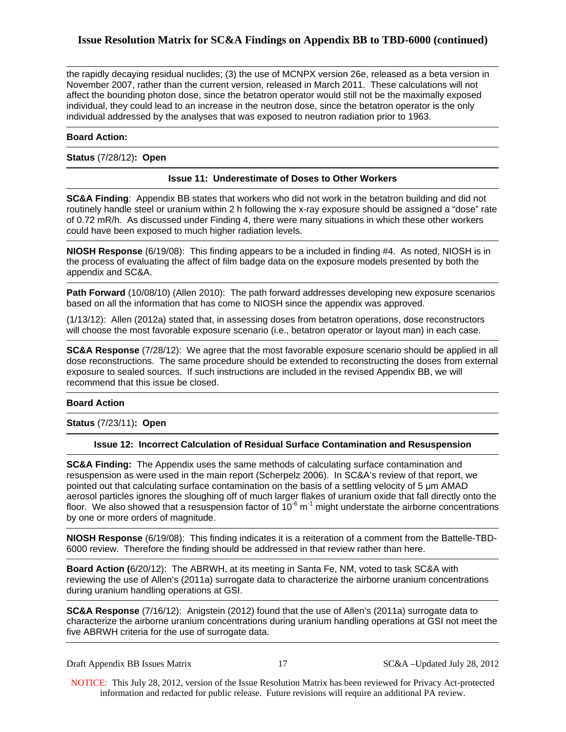the rapidly decaying residual nuclides; (3) the use of MCNPX version 26e, released as a beta version in November 2007, rather than the current version, released in March 2011. These calculations will not affect the bounding photon dose, since the betatron operator would still not be the maximally exposed individual, they could lead to an increase in the neutron dose, since the betatron operator is the only individual addressed by the analyses that was exposed to neutron radiation prior to 1963.

#### **Board Action:**

**Status** (7/28/12)**: Open**

# **Issue 11: Underestimate of Doses to Other Workers**

**SC&A Finding**: Appendix BB states that workers who did not work in the betatron building and did not routinely handle steel or uranium within 2 h following the x-ray exposure should be assigned a "dose" rate of 0.72 mR/h. As discussed under Finding 4, there were many situations in which these other workers could have been exposed to much higher radiation levels.

**NIOSH Response** (6/19/08): This finding appears to be a included in finding #4. As noted, NIOSH is in the process of evaluating the affect of film badge data on the exposure models presented by both the appendix and SC&A.

**Path Forward** (10/08/10) (Allen 2010): The path forward addresses developing new exposure scenarios based on all the information that has come to NIOSH since the appendix was approved.

(1/13/12): Allen (2012a) stated that, in assessing doses from betatron operations, dose reconstructors will choose the most favorable exposure scenario (i.e., betatron operator or layout man) in each case.

**SC&A Response** (7/28/12): We agree that the most favorable exposure scenario should be applied in all dose reconstructions. The same procedure should be extended to reconstructing the doses from external exposure to sealed sources. If such instructions are included in the revised Appendix BB, we will recommend that this issue be closed.

#### **Board Action**

**Status** (7/23/11)**: Open**

#### **Issue 12: Incorrect Calculation of Residual Surface Contamination and Resuspension**

**SC&A Finding:** The Appendix uses the same methods of calculating surface contamination and resuspension as were used in the main report (Scherpelz 2006). In SC&A's review of that report, we pointed out that calculating surface contamination on the basis of a settling velocity of 5 μm AMAD aerosol particles ignores the sloughing off of much larger flakes of uranium oxide that fall directly onto the floor. We also showed that a resuspension factor of  $10^{-6}$  m<sup>-1</sup> might understate the airborne concentrations by one or more orders of magnitude.

**NIOSH Response** (6/19/08): This finding indicates it is a reiteration of a comment from the Battelle-TBD-6000 review. Therefore the finding should be addressed in that review rather than here.

**Board Action (**6/20/12): The ABRWH, at its meeting in Santa Fe, NM, voted to task SC&A with reviewing the use of Allen's (2011a) surrogate data to characterize the airborne uranium concentrations during uranium handling operations at GSI.

**SC&A Response** (7/16/12): Anigstein (2012) found that the use of Allen's (2011a) surrogate data to characterize the airborne uranium concentrations during uranium handling operations at GSI not meet the five ABRWH criteria for the use of surrogate data.

Draft Appendix BB Issues Matrix 17 SC&A –Updated July 28, 2012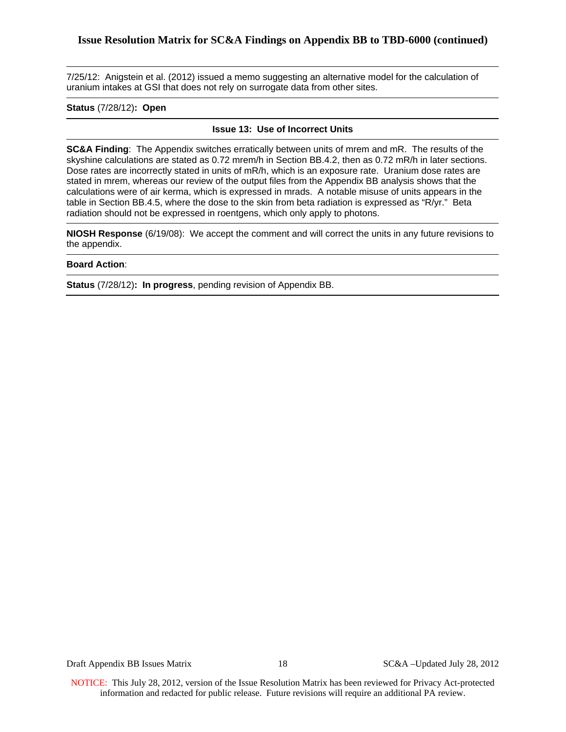7/25/12: Anigstein et al. (2012) issued a memo suggesting an alternative model for the calculation of uranium intakes at GSI that does not rely on surrogate data from other sites.

## **Status** (7/28/12)**: Open**

#### **Issue 13: Use of Incorrect Units**

**SC&A Finding**: The Appendix switches erratically between units of mrem and mR. The results of the skyshine calculations are stated as 0.72 mrem/h in Section BB.4.2, then as 0.72 mR/h in later sections. Dose rates are incorrectly stated in units of mR/h, which is an exposure rate. Uranium dose rates are stated in mrem, whereas our review of the output files from the Appendix BB analysis shows that the calculations were of air kerma, which is expressed in mrads. A notable misuse of units appears in the table in Section BB.4.5, where the dose to the skin from beta radiation is expressed as "R/yr." Beta radiation should not be expressed in roentgens, which only apply to photons.

**NIOSH Response** (6/19/08): We accept the comment and will correct the units in any future revisions to the appendix.

#### **Board Action**:

**Status** (7/28/12)**: In progress**, pending revision of Appendix BB.

Draft Appendix BB Issues Matrix 18 18 SC&A –Updated July 28, 2012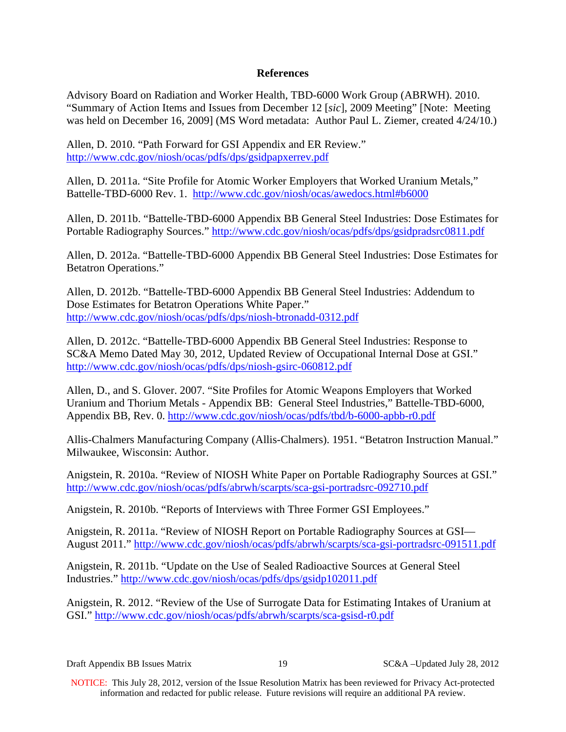# **References**

Advisory Board on Radiation and Worker Health, TBD-6000 Work Group (ABRWH). 2010. "Summary of Action Items and Issues from December 12 [*sic*], 2009 Meeting" [Note: Meeting was held on December 16, 2009] (MS Word metadata: Author Paul L. Ziemer, created 4/24/10.)

Allen, D. 2010. "Path Forward for GSI Appendix and ER Review." <http://www.cdc.gov/niosh/ocas/pdfs/dps/gsidpapxerrev.pdf>

Allen, D. 2011a. "Site Profile for Atomic Worker Employers that Worked Uranium Metals," Battelle-TBD-6000 Rev. 1. <http://www.cdc.gov/niosh/ocas/awedocs.html#b6000>

Allen, D. 2011b. "Battelle-TBD-6000 Appendix BB General Steel Industries: Dose Estimates for Portable Radiography Sources."<http://www.cdc.gov/niosh/ocas/pdfs/dps/gsidpradsrc0811.pdf>

Allen, D. 2012a. "Battelle-TBD-6000 Appendix BB General Steel Industries: Dose Estimates for Betatron Operations."

Allen, D. 2012b. "Battelle-TBD-6000 Appendix BB General Steel Industries: Addendum to Dose Estimates for Betatron Operations White Paper." <http://www.cdc.gov/niosh/ocas/pdfs/dps/niosh-btronadd-0312.pdf>

Allen, D. 2012c. "Battelle-TBD-6000 Appendix BB General Steel Industries: Response to SC&A Memo Dated May 30, 2012, Updated Review of Occupational Internal Dose at GSI." <http://www.cdc.gov/niosh/ocas/pdfs/dps/niosh-gsirc-060812.pdf>

Allen, D., and S. Glover. 2007. "Site Profiles for Atomic Weapons Employers that Worked Uranium and Thorium Metals - Appendix BB: General Steel Industries," Battelle-TBD-6000, Appendix BB, Rev. 0. <http://www.cdc.gov/niosh/ocas/pdfs/tbd/b-6000-apbb-r0.pdf>

Allis-Chalmers Manufacturing Company (Allis-Chalmers). 1951. "Betatron Instruction Manual." Milwaukee, Wisconsin: Author.

Anigstein, R. 2010a. "Review of NIOSH White Paper on Portable Radiography Sources at GSI." <http://www.cdc.gov/niosh/ocas/pdfs/abrwh/scarpts/sca-gsi-portradsrc-092710.pdf>

Anigstein, R. 2010b. "Reports of Interviews with Three Former GSI Employees."

Anigstein, R. 2011a. "Review of NIOSH Report on Portable Radiography Sources at GSI— August 2011."<http://www.cdc.gov/niosh/ocas/pdfs/abrwh/scarpts/sca-gsi-portradsrc-091511.pdf>

Anigstein, R. 2011b. "Update on the Use of Sealed Radioactive Sources at General Steel Industries." <http://www.cdc.gov/niosh/ocas/pdfs/dps/gsidp102011.pdf>

Anigstein, R. 2012. "Review of the Use of Surrogate Data for Estimating Intakes of Uranium at GSI." <http://www.cdc.gov/niosh/ocas/pdfs/abrwh/scarpts/sca-gsisd-r0.pdf>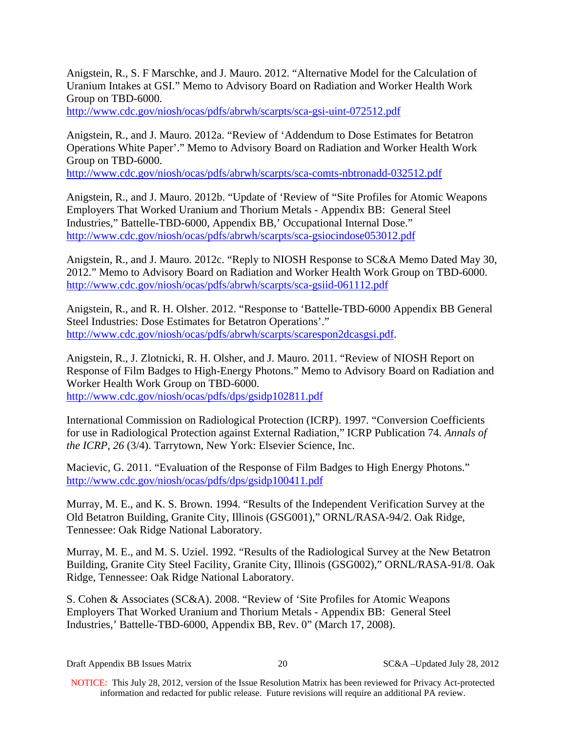Anigstein, R., S. F Marschke, and J. Mauro. 2012. "Alternative Model for the Calculation of Uranium Intakes at GSI." Memo to Advisory Board on Radiation and Worker Health Work Group on TBD-6000.

<http://www.cdc.gov/niosh/ocas/pdfs/abrwh/scarpts/sca-gsi-uint-072512.pdf>

Anigstein, R., and J. Mauro. 2012a. "Review of 'Addendum to Dose Estimates for Betatron Operations White Paper'." Memo to Advisory Board on Radiation and Worker Health Work Group on TBD-6000.

<http://www.cdc.gov/niosh/ocas/pdfs/abrwh/scarpts/sca-comts-nbtronadd-032512.pdf>

Anigstein, R., and J. Mauro. 2012b. "Update of 'Review of "Site Profiles for Atomic Weapons Employers That Worked Uranium and Thorium Metals - Appendix BB: General Steel Industries," Battelle-TBD-6000, Appendix BB,' Occupational Internal Dose." <http://www.cdc.gov/niosh/ocas/pdfs/abrwh/scarpts/sca-gsiocindose053012.pdf>

Anigstein, R., and J. Mauro. 2012c. "Reply to NIOSH Response to SC&A Memo Dated May 30, 2012." Memo to Advisory Board on Radiation and Worker Health Work Group on TBD-6000. <http://www.cdc.gov/niosh/ocas/pdfs/abrwh/scarpts/sca-gsiid-061112.pdf>

Anigstein, R., and R. H. Olsher. 2012. "Response to 'Battelle-TBD-6000 Appendix BB General Steel Industries: Dose Estimates for Betatron Operations'." <http://www.cdc.gov/niosh/ocas/pdfs/abrwh/scarpts/scarespon2dcasgsi.pdf>.

Anigstein, R., J. Zlotnicki, R. H. Olsher, and J. Mauro. 2011. "Review of NIOSH Report on Response of Film Badges to High-Energy Photons." Memo to Advisory Board on Radiation and Worker Health Work Group on TBD-6000. <http://www.cdc.gov/niosh/ocas/pdfs/dps/gsidp102811.pdf>

International Commission on Radiological Protection (ICRP). 1997*.* "Conversion Coefficients for use in Radiological Protection against External Radiation," ICRP Publication 74. *Annals of the ICRP*, *26* (3/4). Tarrytown, New York: Elsevier Science, Inc.

Macievic, G. 2011. "Evaluation of the Response of Film Badges to High Energy Photons." <http://www.cdc.gov/niosh/ocas/pdfs/dps/gsidp100411.pdf>

Murray, M. E., and K. S. Brown. 1994. "Results of the Independent Verification Survey at the Old Betatron Building, Granite City, Illinois (GSG001)," ORNL/RASA-94/2. Oak Ridge, Tennessee: Oak Ridge National Laboratory.

Murray, M. E., and M. S. Uziel. 1992. "Results of the Radiological Survey at the New Betatron Building, Granite City Steel Facility, Granite City, Illinois (GSG002)," ORNL/RASA-91/8. Oak Ridge, Tennessee: Oak Ridge National Laboratory.

S. Cohen & Associates (SC&A). 2008. "Review of 'Site Profiles for Atomic Weapons Employers That Worked Uranium and Thorium Metals - Appendix BB: General Steel Industries,' Battelle-TBD-6000, Appendix BB, Rev. 0" (March 17, 2008).

Draft Appendix BB Issues Matrix 20 SC&A –Updated July 28, 2012